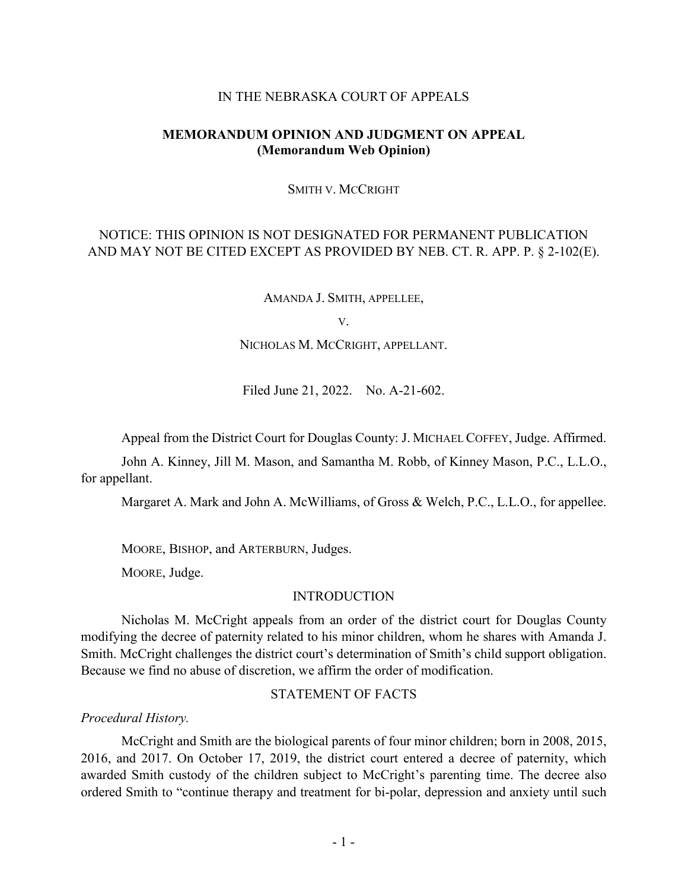#### IN THE NEBRASKA COURT OF APPEALS

# **MEMORANDUM OPINION AND JUDGMENT ON APPEAL (Memorandum Web Opinion)**

#### SMITH V. MCCRIGHT

# NOTICE: THIS OPINION IS NOT DESIGNATED FOR PERMANENT PUBLICATION AND MAY NOT BE CITED EXCEPT AS PROVIDED BY NEB. CT. R. APP. P. § 2-102(E).

AMANDA J. SMITH, APPELLEE,

V.

NICHOLAS M. MCCRIGHT, APPELLANT.

Filed June 21, 2022. No. A-21-602.

Appeal from the District Court for Douglas County: J. MICHAEL COFFEY, Judge. Affirmed.

John A. Kinney, Jill M. Mason, and Samantha M. Robb, of Kinney Mason, P.C., L.L.O., for appellant.

Margaret A. Mark and John A. McWilliams, of Gross & Welch, P.C., L.L.O., for appellee.

MOORE, BISHOP, and ARTERBURN, Judges.

MOORE, Judge.

#### INTRODUCTION

Nicholas M. McCright appeals from an order of the district court for Douglas County modifying the decree of paternity related to his minor children, whom he shares with Amanda J. Smith. McCright challenges the district court's determination of Smith's child support obligation. Because we find no abuse of discretion, we affirm the order of modification.

### STATEMENT OF FACTS

*Procedural History.*

McCright and Smith are the biological parents of four minor children; born in 2008, 2015, 2016, and 2017. On October 17, 2019, the district court entered a decree of paternity, which awarded Smith custody of the children subject to McCright's parenting time. The decree also ordered Smith to "continue therapy and treatment for bi-polar, depression and anxiety until such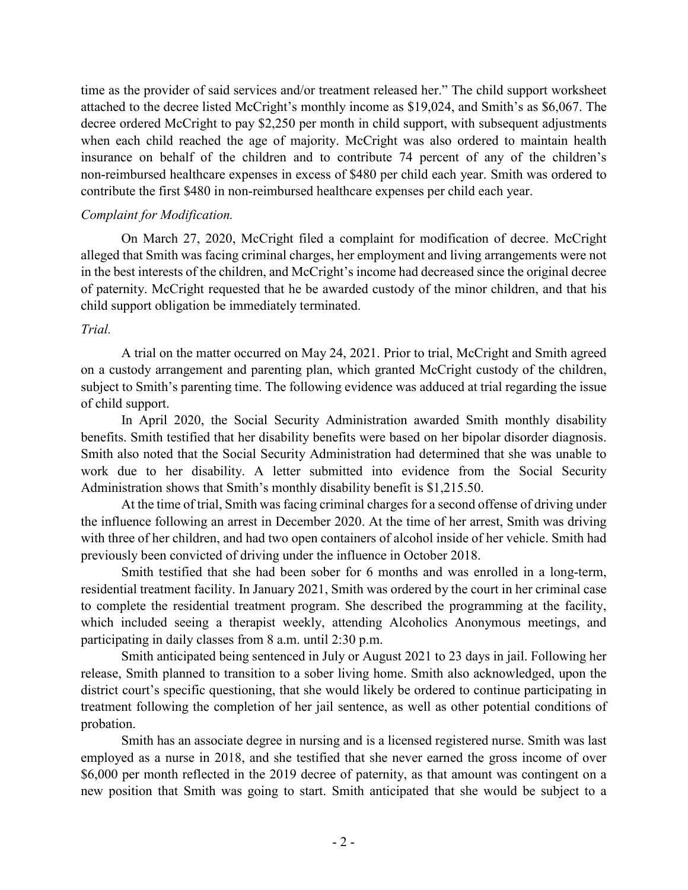time as the provider of said services and/or treatment released her." The child support worksheet attached to the decree listed McCright's monthly income as \$19,024, and Smith's as \$6,067. The decree ordered McCright to pay \$2,250 per month in child support, with subsequent adjustments when each child reached the age of majority. McCright was also ordered to maintain health insurance on behalf of the children and to contribute 74 percent of any of the children's non-reimbursed healthcare expenses in excess of \$480 per child each year. Smith was ordered to contribute the first \$480 in non-reimbursed healthcare expenses per child each year.

# *Complaint for Modification.*

On March 27, 2020, McCright filed a complaint for modification of decree. McCright alleged that Smith was facing criminal charges, her employment and living arrangements were not in the best interests of the children, and McCright's income had decreased since the original decree of paternity. McCright requested that he be awarded custody of the minor children, and that his child support obligation be immediately terminated.

# *Trial.*

A trial on the matter occurred on May 24, 2021. Prior to trial, McCright and Smith agreed on a custody arrangement and parenting plan, which granted McCright custody of the children, subject to Smith's parenting time. The following evidence was adduced at trial regarding the issue of child support.

In April 2020, the Social Security Administration awarded Smith monthly disability benefits. Smith testified that her disability benefits were based on her bipolar disorder diagnosis. Smith also noted that the Social Security Administration had determined that she was unable to work due to her disability. A letter submitted into evidence from the Social Security Administration shows that Smith's monthly disability benefit is \$1,215.50.

At the time of trial, Smith was facing criminal charges for a second offense of driving under the influence following an arrest in December 2020. At the time of her arrest, Smith was driving with three of her children, and had two open containers of alcohol inside of her vehicle. Smith had previously been convicted of driving under the influence in October 2018.

Smith testified that she had been sober for 6 months and was enrolled in a long-term, residential treatment facility. In January 2021, Smith was ordered by the court in her criminal case to complete the residential treatment program. She described the programming at the facility, which included seeing a therapist weekly, attending Alcoholics Anonymous meetings, and participating in daily classes from 8 a.m. until 2:30 p.m.

Smith anticipated being sentenced in July or August 2021 to 23 days in jail. Following her release, Smith planned to transition to a sober living home. Smith also acknowledged, upon the district court's specific questioning, that she would likely be ordered to continue participating in treatment following the completion of her jail sentence, as well as other potential conditions of probation.

Smith has an associate degree in nursing and is a licensed registered nurse. Smith was last employed as a nurse in 2018, and she testified that she never earned the gross income of over \$6,000 per month reflected in the 2019 decree of paternity, as that amount was contingent on a new position that Smith was going to start. Smith anticipated that she would be subject to a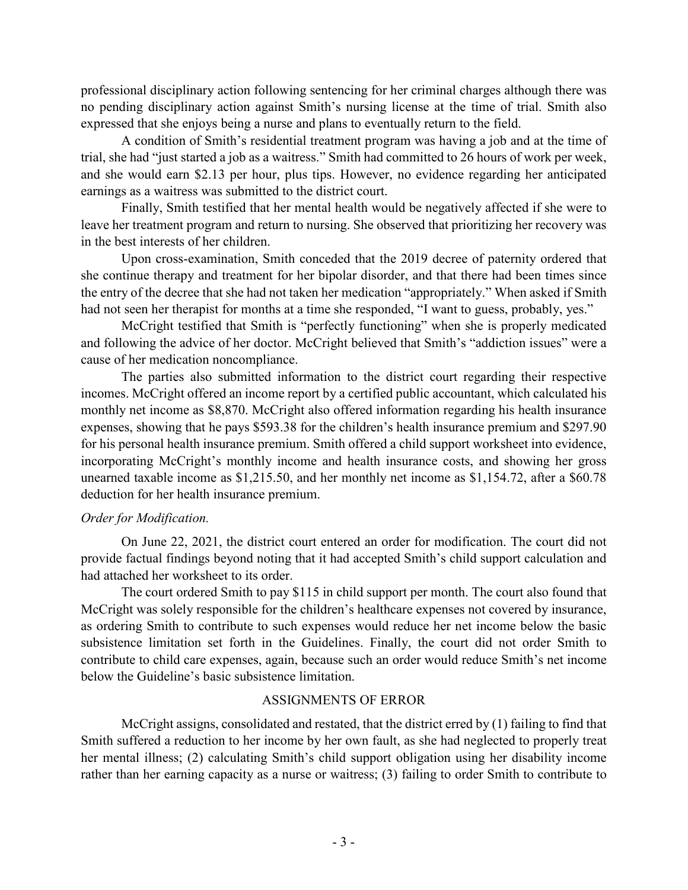professional disciplinary action following sentencing for her criminal charges although there was no pending disciplinary action against Smith's nursing license at the time of trial. Smith also expressed that she enjoys being a nurse and plans to eventually return to the field.

A condition of Smith's residential treatment program was having a job and at the time of trial, she had "just started a job as a waitress." Smith had committed to 26 hours of work per week, and she would earn \$2.13 per hour, plus tips. However, no evidence regarding her anticipated earnings as a waitress was submitted to the district court.

Finally, Smith testified that her mental health would be negatively affected if she were to leave her treatment program and return to nursing. She observed that prioritizing her recovery was in the best interests of her children.

Upon cross-examination, Smith conceded that the 2019 decree of paternity ordered that she continue therapy and treatment for her bipolar disorder, and that there had been times since the entry of the decree that she had not taken her medication "appropriately." When asked if Smith had not seen her therapist for months at a time she responded, "I want to guess, probably, yes."

McCright testified that Smith is "perfectly functioning" when she is properly medicated and following the advice of her doctor. McCright believed that Smith's "addiction issues" were a cause of her medication noncompliance.

The parties also submitted information to the district court regarding their respective incomes. McCright offered an income report by a certified public accountant, which calculated his monthly net income as \$8,870. McCright also offered information regarding his health insurance expenses, showing that he pays \$593.38 for the children's health insurance premium and \$297.90 for his personal health insurance premium. Smith offered a child support worksheet into evidence, incorporating McCright's monthly income and health insurance costs, and showing her gross unearned taxable income as \$1,215.50, and her monthly net income as \$1,154.72, after a \$60.78 deduction for her health insurance premium.

# *Order for Modification.*

On June 22, 2021, the district court entered an order for modification. The court did not provide factual findings beyond noting that it had accepted Smith's child support calculation and had attached her worksheet to its order.

The court ordered Smith to pay \$115 in child support per month. The court also found that McCright was solely responsible for the children's healthcare expenses not covered by insurance, as ordering Smith to contribute to such expenses would reduce her net income below the basic subsistence limitation set forth in the Guidelines. Finally, the court did not order Smith to contribute to child care expenses, again, because such an order would reduce Smith's net income below the Guideline's basic subsistence limitation.

# ASSIGNMENTS OF ERROR

McCright assigns, consolidated and restated, that the district erred by (1) failing to find that Smith suffered a reduction to her income by her own fault, as she had neglected to properly treat her mental illness; (2) calculating Smith's child support obligation using her disability income rather than her earning capacity as a nurse or waitress; (3) failing to order Smith to contribute to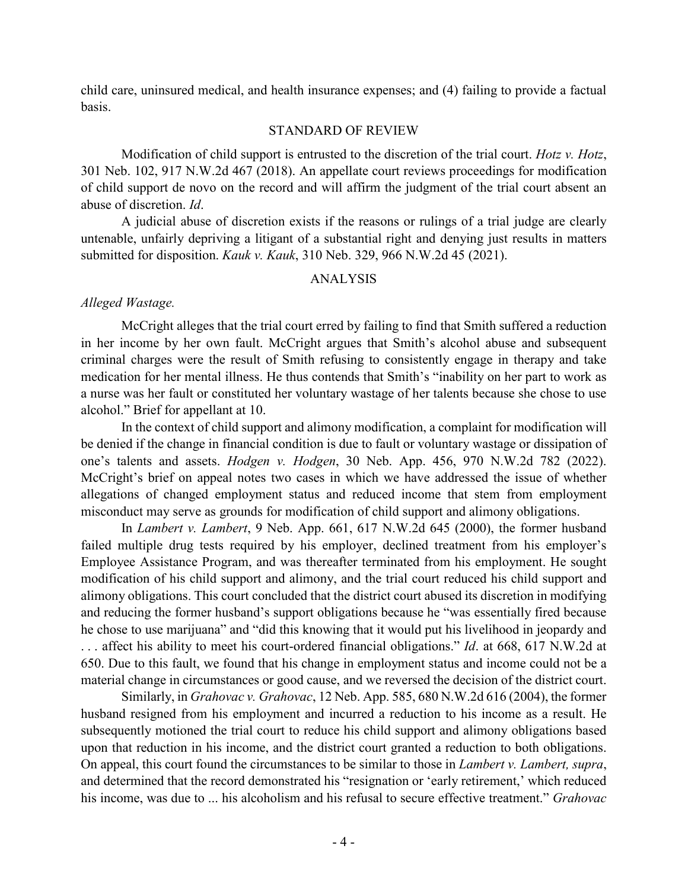child care, uninsured medical, and health insurance expenses; and (4) failing to provide a factual basis.

### STANDARD OF REVIEW

Modification of child support is entrusted to the discretion of the trial court. *Hotz v. Hotz*, 301 Neb. 102, 917 N.W.2d 467 (2018). An appellate court reviews proceedings for modification of child support de novo on the record and will affirm the judgment of the trial court absent an abuse of discretion. *Id*.

A judicial abuse of discretion exists if the reasons or rulings of a trial judge are clearly untenable, unfairly depriving a litigant of a substantial right and denying just results in matters submitted for disposition. *Kauk v. Kauk*, 310 Neb. 329, 966 N.W.2d 45 (2021).

# ANALYSIS

# *Alleged Wastage.*

McCright alleges that the trial court erred by failing to find that Smith suffered a reduction in her income by her own fault. McCright argues that Smith's alcohol abuse and subsequent criminal charges were the result of Smith refusing to consistently engage in therapy and take medication for her mental illness. He thus contends that Smith's "inability on her part to work as a nurse was her fault or constituted her voluntary wastage of her talents because she chose to use alcohol." Brief for appellant at 10.

In the context of child support and alimony modification, a complaint for modification will be denied if the change in financial condition is due to fault or voluntary wastage or dissipation of one's talents and assets. *Hodgen v. Hodgen*, 30 Neb. App. 456, 970 N.W.2d 782 (2022). McCright's brief on appeal notes two cases in which we have addressed the issue of whether allegations of changed employment status and reduced income that stem from employment misconduct may serve as grounds for modification of child support and alimony obligations.

In *Lambert v. Lambert*, 9 Neb. App. 661, 617 N.W.2d 645 (2000), the former husband failed multiple drug tests required by his employer, declined treatment from his employer's Employee Assistance Program, and was thereafter terminated from his employment. He sought modification of his child support and alimony, and the trial court reduced his child support and alimony obligations. This court concluded that the district court abused its discretion in modifying and reducing the former husband's support obligations because he "was essentially fired because he chose to use marijuana" and "did this knowing that it would put his livelihood in jeopardy and . . . affect his ability to meet his court-ordered financial obligations." *Id*. at 668, 617 N.W.2d at 650. Due to this fault, we found that his change in employment status and income could not be a material change in circumstances or good cause, and we reversed the decision of the district court.

Similarly, in *Grahovac v. Grahovac*, 12 Neb. App. 585, 680 N.W.2d 616 (2004), the former husband resigned from his employment and incurred a reduction to his income as a result. He subsequently motioned the trial court to reduce his child support and alimony obligations based upon that reduction in his income, and the district court granted a reduction to both obligations. On appeal, this court found the circumstances to be similar to those in *Lambert v. Lambert, supra*, and determined that the record demonstrated his "resignation or 'early retirement,' which reduced his income, was due to ... his alcoholism and his refusal to secure effective treatment." *Grahovac*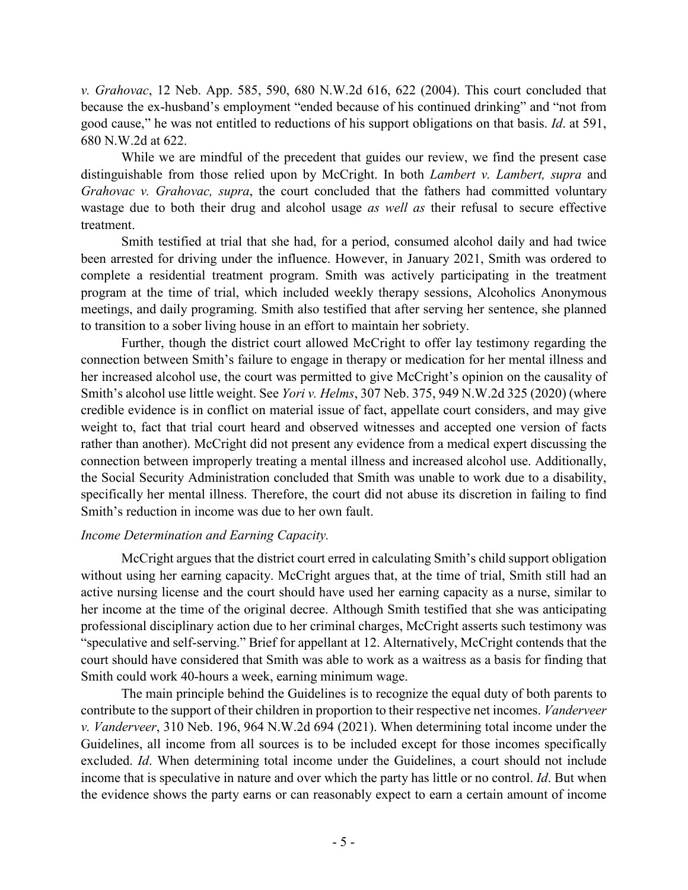*v. Grahovac*, 12 Neb. App. 585, 590, 680 N.W.2d 616, 622 (2004). This court concluded that because the ex-husband's employment "ended because of his continued drinking" and "not from good cause," he was not entitled to reductions of his support obligations on that basis. *Id*. at 591, 680 N.W.2d at 622.

While we are mindful of the precedent that guides our review, we find the present case distinguishable from those relied upon by McCright. In both *Lambert v. Lambert, supra* and *Grahovac v. Grahovac, supra*, the court concluded that the fathers had committed voluntary wastage due to both their drug and alcohol usage *as well as* their refusal to secure effective treatment.

Smith testified at trial that she had, for a period, consumed alcohol daily and had twice been arrested for driving under the influence. However, in January 2021, Smith was ordered to complete a residential treatment program. Smith was actively participating in the treatment program at the time of trial, which included weekly therapy sessions, Alcoholics Anonymous meetings, and daily programing. Smith also testified that after serving her sentence, she planned to transition to a sober living house in an effort to maintain her sobriety.

Further, though the district court allowed McCright to offer lay testimony regarding the connection between Smith's failure to engage in therapy or medication for her mental illness and her increased alcohol use, the court was permitted to give McCright's opinion on the causality of Smith's alcohol use little weight. See *Yori v. Helms*, 307 Neb. 375, 949 N.W.2d 325 (2020) (where credible evidence is in conflict on material issue of fact, appellate court considers, and may give weight to, fact that trial court heard and observed witnesses and accepted one version of facts rather than another). McCright did not present any evidence from a medical expert discussing the connection between improperly treating a mental illness and increased alcohol use. Additionally, the Social Security Administration concluded that Smith was unable to work due to a disability, specifically her mental illness. Therefore, the court did not abuse its discretion in failing to find Smith's reduction in income was due to her own fault.

# *Income Determination and Earning Capacity.*

McCright argues that the district court erred in calculating Smith's child support obligation without using her earning capacity. McCright argues that, at the time of trial, Smith still had an active nursing license and the court should have used her earning capacity as a nurse, similar to her income at the time of the original decree. Although Smith testified that she was anticipating professional disciplinary action due to her criminal charges, McCright asserts such testimony was "speculative and self-serving." Brief for appellant at 12. Alternatively, McCright contends that the court should have considered that Smith was able to work as a waitress as a basis for finding that Smith could work 40-hours a week, earning minimum wage.

The main principle behind the Guidelines is to recognize the equal duty of both parents to contribute to the support of their children in proportion to their respective net incomes. *Vanderveer v. Vanderveer*, 310 Neb. 196, 964 N.W.2d 694 (2021). When determining total income under the Guidelines, all income from all sources is to be included except for those incomes specifically excluded. *Id*. When determining total income under the Guidelines, a court should not include income that is speculative in nature and over which the party has little or no control. *Id*. But when the evidence shows the party earns or can reasonably expect to earn a certain amount of income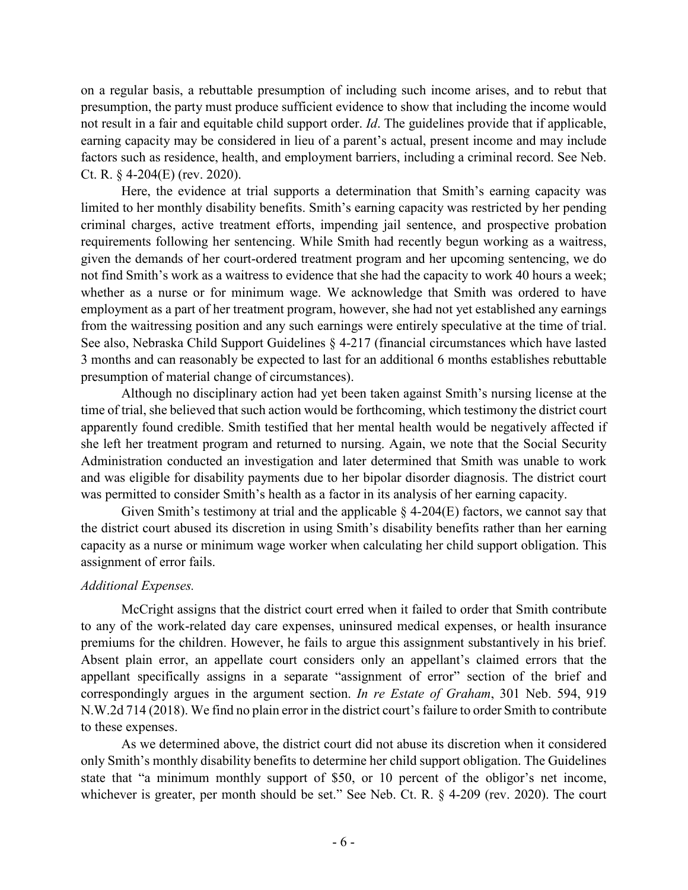on a regular basis, a rebuttable presumption of including such income arises, and to rebut that presumption, the party must produce sufficient evidence to show that including the income would not result in a fair and equitable child support order. *Id*. The guidelines provide that if applicable, earning capacity may be considered in lieu of a parent's actual, present income and may include factors such as residence, health, and employment barriers, including a criminal record. See Neb. Ct. R. § 4-204(E) (rev. 2020).

Here, the evidence at trial supports a determination that Smith's earning capacity was limited to her monthly disability benefits. Smith's earning capacity was restricted by her pending criminal charges, active treatment efforts, impending jail sentence, and prospective probation requirements following her sentencing. While Smith had recently begun working as a waitress, given the demands of her court-ordered treatment program and her upcoming sentencing, we do not find Smith's work as a waitress to evidence that she had the capacity to work 40 hours a week; whether as a nurse or for minimum wage. We acknowledge that Smith was ordered to have employment as a part of her treatment program, however, she had not yet established any earnings from the waitressing position and any such earnings were entirely speculative at the time of trial. See also, Nebraska Child Support Guidelines § 4-217 (financial circumstances which have lasted 3 months and can reasonably be expected to last for an additional 6 months establishes rebuttable presumption of material change of circumstances).

Although no disciplinary action had yet been taken against Smith's nursing license at the time of trial, she believed that such action would be forthcoming, which testimony the district court apparently found credible. Smith testified that her mental health would be negatively affected if she left her treatment program and returned to nursing. Again, we note that the Social Security Administration conducted an investigation and later determined that Smith was unable to work and was eligible for disability payments due to her bipolar disorder diagnosis. The district court was permitted to consider Smith's health as a factor in its analysis of her earning capacity.

Given Smith's testimony at trial and the applicable  $\S$  4-204(E) factors, we cannot say that the district court abused its discretion in using Smith's disability benefits rather than her earning capacity as a nurse or minimum wage worker when calculating her child support obligation. This assignment of error fails.

# *Additional Expenses.*

McCright assigns that the district court erred when it failed to order that Smith contribute to any of the work-related day care expenses, uninsured medical expenses, or health insurance premiums for the children. However, he fails to argue this assignment substantively in his brief. Absent plain error, an appellate court considers only an appellant's claimed errors that the appellant specifically assigns in a separate "assignment of error" section of the brief and correspondingly argues in the argument section. *In re Estate of Graham*, 301 Neb. 594, 919 N.W.2d 714 (2018). We find no plain error in the district court's failure to order Smith to contribute to these expenses.

As we determined above, the district court did not abuse its discretion when it considered only Smith's monthly disability benefits to determine her child support obligation. The Guidelines state that "a minimum monthly support of \$50, or 10 percent of the obligor's net income, whichever is greater, per month should be set." See Neb. Ct. R. § 4-209 (rev. 2020). The court